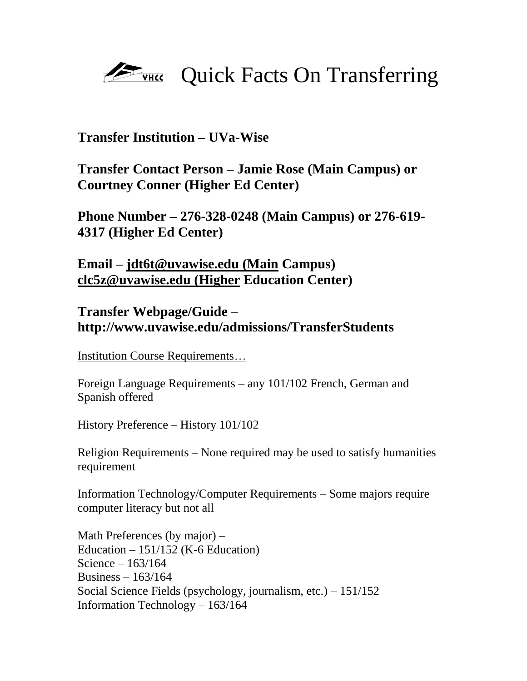## **EVALUATE** Quick Facts On Transferring

## **Transfer Institution – UVa-Wise**

**Transfer Contact Person – Jamie Rose (Main Campus) or Courtney Conner (Higher Ed Center)**

**Phone Number – 276-328-0248 (Main Campus) or 276-619- 4317 (Higher Ed Center)**

**Email – [jdt6t@uvawise.edu \(Main](mailto:jdt6t@uvawise.edu%20(Main) Campus) [clc5z@uvawise.edu \(Higher](mailto:clc5z@uvawise.edu%20(Higher) Education Center)**

## **Transfer Webpage/Guide – http://www.uvawise.edu/admissions/TransferStudents**

Institution Course Requirements…

Foreign Language Requirements – any 101/102 French, German and Spanish offered

History Preference – History 101/102

Religion Requirements – None required may be used to satisfy humanities requirement

Information Technology/Computer Requirements – Some majors require computer literacy but not all

Math Preferences (by major) – Education  $-151/152$  (K-6 Education) Science – 163/164 Business – 163/164 Social Science Fields (psychology, journalism, etc.) – 151/152 Information Technology – 163/164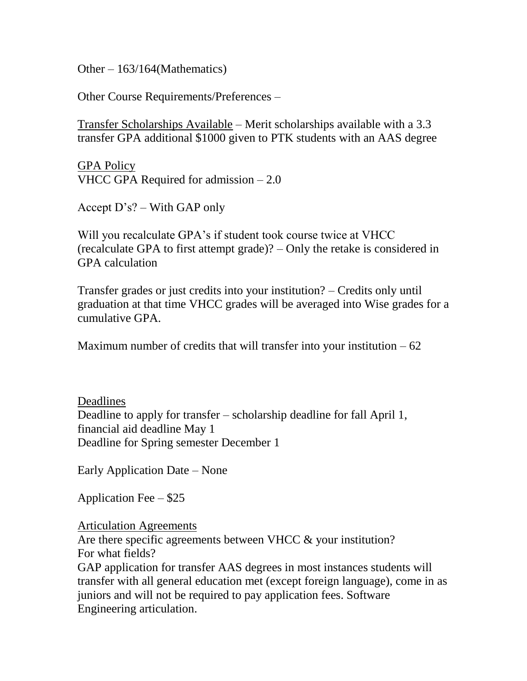Other – 163/164(Mathematics)

Other Course Requirements/Preferences –

Transfer Scholarships Available – Merit scholarships available with a 3.3 transfer GPA additional \$1000 given to PTK students with an AAS degree

GPA Policy VHCC GPA Required for admission – 2.0

Accept D's? – With GAP only

Will you recalculate GPA's if student took course twice at VHCC (recalculate GPA to first attempt grade)? – Only the retake is considered in GPA calculation

Transfer grades or just credits into your institution? – Credits only until graduation at that time VHCC grades will be averaged into Wise grades for a cumulative GPA.

Maximum number of credits that will transfer into your institution  $-62$ 

Deadlines Deadline to apply for transfer – scholarship deadline for fall April 1, financial aid deadline May 1 Deadline for Spring semester December 1

Early Application Date – None

Application Fee – \$25

Articulation Agreements

Are there specific agreements between VHCC & your institution? For what fields?

GAP application for transfer AAS degrees in most instances students will transfer with all general education met (except foreign language), come in as juniors and will not be required to pay application fees. Software Engineering articulation.